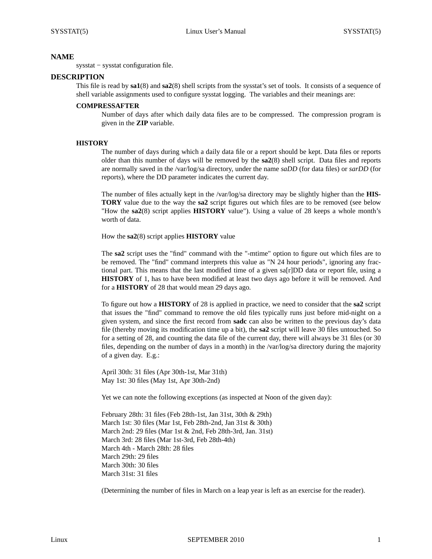# **NAME**

sysstat − sysstat configuration file.

#### **DESCRIPTION**

This file is read by **sa1**(8) and **sa2**(8) shell scripts from the sysstat's set of tools. It consists of a sequence of shell variable assignments used to configure sysstat logging. The variables and their meanings are:

### **COMPRESSAFTER**

Number of days after which daily data files are to be compressed. The compression program is given in the **ZIP** variable.

#### **HISTORY**

The number of days during which a daily data file or a report should be kept. Data files or reports older than this number of days will be removed by the **sa2**(8) shell script. Data files and reports are normally saved in the /var/log/sa directory, under the name *saDD* (for data files) or *sarDD* (for reports), where the DD parameter indicates the current day.

The number of files actually kept in the /var/log/sa directory may be slightly higher than the **HIS-TORY** value due to the way the **sa2** script figures out which files are to be removed (see below "How the **sa2**(8) script applies **HISTORY** value"). Using a value of 28 keeps a whole month's worth of data.

How the **sa2**(8) script applies **HISTORY** value

The **sa2** script uses the "find" command with the "-mtime" option to figure out which files are to be removed. The "find" command interprets this value as "N 24 hour periods", ignoring any fractional part. This means that the last modified time of a given sa[r]DD data or report file, using a **HISTORY** of 1, has to have been modified at least two days ago before it will be removed. And for a **HISTORY** of 28 that would mean 29 days ago.

To figure out how a **HISTORY** of 28 is applied in practice, we need to consider that the **sa2** script that issues the "find" command to remove the old files typically runs just before mid-night on a given system, and since the first record from **sadc** can also be written to the previous day's data file (thereby moving its modification time up a bit), the **sa2** script will leave 30 files untouched. So for a setting of 28, and counting the data file of the current day, there will always be 31 files (or 30 files, depending on the number of days in a month) in the /var/log/sa directory during the majority of a given day. E.g.:

April 30th: 31 files (Apr 30th-1st, Mar 31th) May 1st: 30 files (May 1st, Apr 30th-2nd)

Yet we can note the following exceptions (as inspected at Noon of the given day):

February 28th: 31 files (Feb 28th-1st, Jan 31st, 30th & 29th) March 1st: 30 files (Mar 1st, Feb 28th-2nd, Jan 31st & 30th) March 2nd: 29 files (Mar 1st & 2nd, Feb 28th-3rd, Jan. 31st) March 3rd: 28 files (Mar 1st-3rd, Feb 28th-4th) March 4th - March 28th: 28 files March 29th: 29 files March 30th: 30 files March 31st: 31 files

(Determining the number of files in March on a leap year is left as an exercise for the reader).